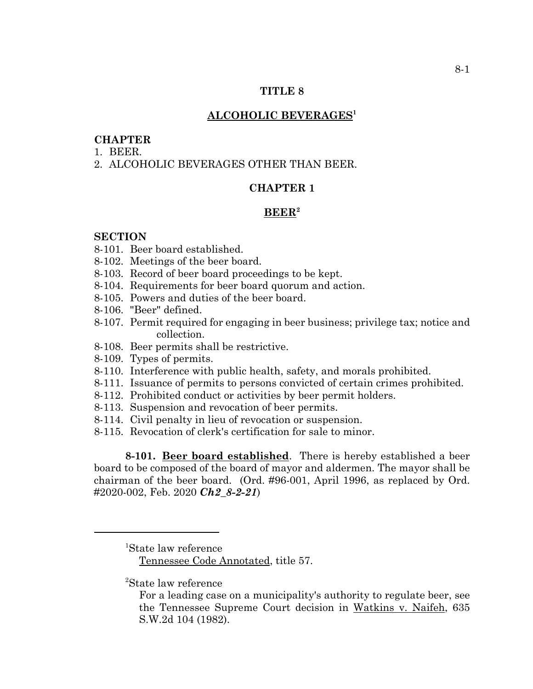#### **TITLE 8**

#### **ALCOHOLIC BEVERAGES1**

#### **CHAPTER**

- 1. BEER.
- 2. ALCOHOLIC BEVERAGES OTHER THAN BEER.

# **CHAPTER 1**

# **BEER2**

#### **SECTION**

- 8-101. Beer board established.
- 8-102. Meetings of the beer board.
- 8-103. Record of beer board proceedings to be kept.
- 8-104. Requirements for beer board quorum and action.
- 8-105. Powers and duties of the beer board.
- 8-106. "Beer" defined.
- 8-107. Permit required for engaging in beer business; privilege tax; notice and collection.
- 8-108. Beer permits shall be restrictive.
- 8-109. Types of permits.
- 8-110. Interference with public health, safety, and morals prohibited.
- 8-111. Issuance of permits to persons convicted of certain crimes prohibited.
- 8-112. Prohibited conduct or activities by beer permit holders.
- 8-113. Suspension and revocation of beer permits.
- 8-114. Civil penalty in lieu of revocation or suspension.
- 8-115. Revocation of clerk's certification for sale to minor.

**8-101. Beer board established**. There is hereby established a beer board to be composed of the board of mayor and aldermen. The mayor shall be chairman of the beer board. (Ord. #96-001, April 1996, as replaced by Ord. #2020-002, Feb. 2020 *Ch2\_8-2-21*)

Tennessee Code Annotated, title 57.

2 State law reference

<sup>1</sup> State law reference

For a leading case on a municipality's authority to regulate beer, see the Tennessee Supreme Court decision in Watkins v. Naifeh, 635 S.W.2d 104 (1982).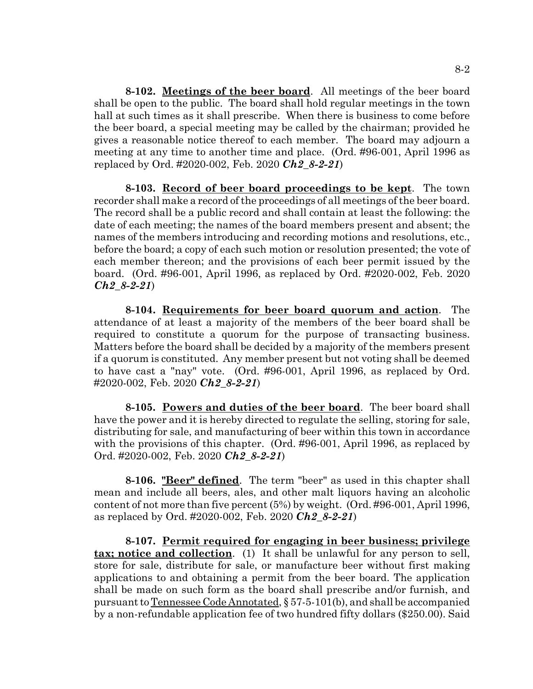**8-102. Meetings of the beer board**. All meetings of the beer board shall be open to the public. The board shall hold regular meetings in the town hall at such times as it shall prescribe. When there is business to come before the beer board, a special meeting may be called by the chairman; provided he gives a reasonable notice thereof to each member. The board may adjourn a meeting at any time to another time and place. (Ord. #96-001, April 1996 as replaced by Ord. #2020-002, Feb. 2020 *Ch2\_8-2-21*)

**8-103. Record of beer board proceedings to be kept**. The town recorder shall make a record of the proceedings of all meetings of the beer board. The record shall be a public record and shall contain at least the following: the date of each meeting; the names of the board members present and absent; the names of the members introducing and recording motions and resolutions, etc., before the board; a copy of each such motion or resolution presented; the vote of each member thereon; and the provisions of each beer permit issued by the board. (Ord. #96-001, April 1996, as replaced by Ord. #2020-002, Feb. 2020 *Ch2\_8-2-21*)

**8-104. Requirements for beer board quorum and action**. The attendance of at least a majority of the members of the beer board shall be required to constitute a quorum for the purpose of transacting business. Matters before the board shall be decided by a majority of the members present if a quorum is constituted. Any member present but not voting shall be deemed to have cast a "nay" vote. (Ord. #96-001, April 1996, as replaced by Ord. #2020-002, Feb. 2020 *Ch2\_8-2-21*)

**8-105. Powers and duties of the beer board**. The beer board shall have the power and it is hereby directed to regulate the selling, storing for sale, distributing for sale, and manufacturing of beer within this town in accordance with the provisions of this chapter. (Ord. #96-001, April 1996, as replaced by Ord. #2020-002, Feb. 2020 *Ch2\_8-2-21*)

**8-106. "Beer" defined**. The term "beer" as used in this chapter shall mean and include all beers, ales, and other malt liquors having an alcoholic content of not more than five percent (5%) by weight. (Ord. #96-001, April 1996, as replaced by Ord. #2020-002, Feb. 2020 *Ch2\_8-2-21*)

**8-107. Permit required for engaging in beer business; privilege tax; notice and collection**. (1) It shall be unlawful for any person to sell, store for sale, distribute for sale, or manufacture beer without first making applications to and obtaining a permit from the beer board. The application shall be made on such form as the board shall prescribe and/or furnish, and pursuant to Tennessee Code Annotated, § 57-5-101(b), and shall be accompanied by a non-refundable application fee of two hundred fifty dollars (\$250.00). Said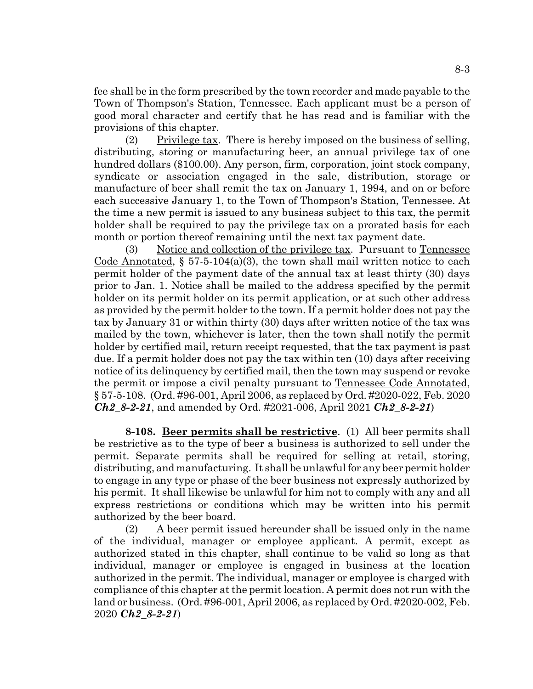fee shall be in the form prescribed by the town recorder and made payable to the Town of Thompson's Station, Tennessee. Each applicant must be a person of good moral character and certify that he has read and is familiar with the provisions of this chapter.

(2) Privilege tax. There is hereby imposed on the business of selling, distributing, storing or manufacturing beer, an annual privilege tax of one hundred dollars (\$100.00). Any person, firm, corporation, joint stock company, syndicate or association engaged in the sale, distribution, storage or manufacture of beer shall remit the tax on January 1, 1994, and on or before each successive January 1, to the Town of Thompson's Station, Tennessee. At the time a new permit is issued to any business subject to this tax, the permit holder shall be required to pay the privilege tax on a prorated basis for each month or portion thereof remaining until the next tax payment date.

(3) Notice and collection of the privilege tax. Pursuant to Tennessee Code Annotated,  $\S 57-5-104(a)(3)$ , the town shall mail written notice to each permit holder of the payment date of the annual tax at least thirty (30) days prior to Jan. 1. Notice shall be mailed to the address specified by the permit holder on its permit holder on its permit application, or at such other address as provided by the permit holder to the town. If a permit holder does not pay the tax by January 31 or within thirty (30) days after written notice of the tax was mailed by the town, whichever is later, then the town shall notify the permit holder by certified mail, return receipt requested, that the tax payment is past due. If a permit holder does not pay the tax within ten (10) days after receiving notice of its delinquency by certified mail, then the town may suspend or revoke the permit or impose a civil penalty pursuant to Tennessee Code Annotated, § 57-5-108. (Ord. #96-001, April 2006, as replaced by Ord. #2020-022, Feb. 2020 *Ch2\_8-2-21*, and amended by Ord. #2021-006, April 2021 *Ch2\_8-2-21*)

**8-108. Beer permits shall be restrictive**. (1) All beer permits shall be restrictive as to the type of beer a business is authorized to sell under the permit. Separate permits shall be required for selling at retail, storing, distributing, and manufacturing. It shall be unlawful for any beer permit holder to engage in any type or phase of the beer business not expressly authorized by his permit. It shall likewise be unlawful for him not to comply with any and all express restrictions or conditions which may be written into his permit authorized by the beer board.

(2) A beer permit issued hereunder shall be issued only in the name of the individual, manager or employee applicant. A permit, except as authorized stated in this chapter, shall continue to be valid so long as that individual, manager or employee is engaged in business at the location authorized in the permit. The individual, manager or employee is charged with compliance of this chapter at the permit location. A permit does not run with the land or business. (Ord. #96-001, April 2006, as replaced by Ord. #2020-002, Feb. 2020 *Ch2\_8-2-21*)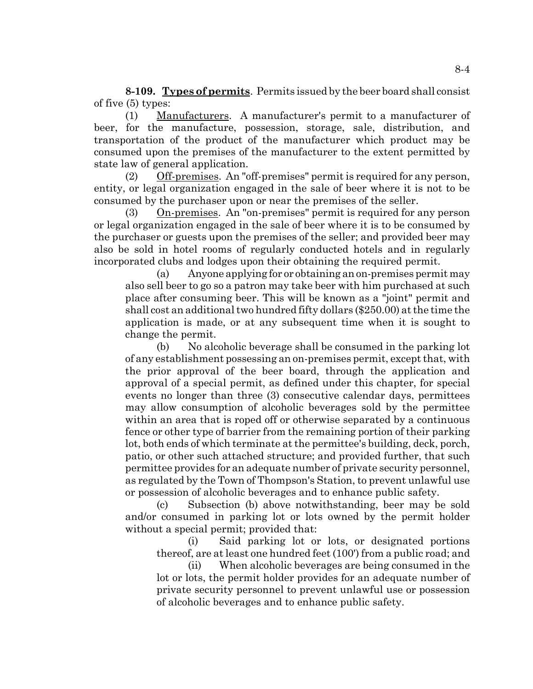**8-109. Types of permits**. Permits issued by the beer board shall consist of five (5) types:

(1) Manufacturers. A manufacturer's permit to a manufacturer of beer, for the manufacture, possession, storage, sale, distribution, and transportation of the product of the manufacturer which product may be consumed upon the premises of the manufacturer to the extent permitted by state law of general application.

(2) Off-premises. An "off-premises" permit is required for any person, entity, or legal organization engaged in the sale of beer where it is not to be consumed by the purchaser upon or near the premises of the seller.

(3) On-premises. An "on-premises" permit is required for any person or legal organization engaged in the sale of beer where it is to be consumed by the purchaser or guests upon the premises of the seller; and provided beer may also be sold in hotel rooms of regularly conducted hotels and in regularly incorporated clubs and lodges upon their obtaining the required permit.

(a) Anyone applying for or obtaining an on-premises permit may also sell beer to go so a patron may take beer with him purchased at such place after consuming beer. This will be known as a "joint" permit and shall cost an additional two hundred fifty dollars (\$250.00) at the time the application is made, or at any subsequent time when it is sought to change the permit.

(b) No alcoholic beverage shall be consumed in the parking lot of any establishment possessing an on-premises permit, except that, with the prior approval of the beer board, through the application and approval of a special permit, as defined under this chapter, for special events no longer than three (3) consecutive calendar days, permittees may allow consumption of alcoholic beverages sold by the permittee within an area that is roped off or otherwise separated by a continuous fence or other type of barrier from the remaining portion of their parking lot, both ends of which terminate at the permittee's building, deck, porch, patio, or other such attached structure; and provided further, that such permittee provides for an adequate number of private security personnel, as regulated by the Town of Thompson's Station, to prevent unlawful use or possession of alcoholic beverages and to enhance public safety.

(c) Subsection (b) above notwithstanding, beer may be sold and/or consumed in parking lot or lots owned by the permit holder without a special permit; provided that:

(i) Said parking lot or lots, or designated portions thereof, are at least one hundred feet (100') from a public road; and

(ii) When alcoholic beverages are being consumed in the lot or lots, the permit holder provides for an adequate number of private security personnel to prevent unlawful use or possession of alcoholic beverages and to enhance public safety.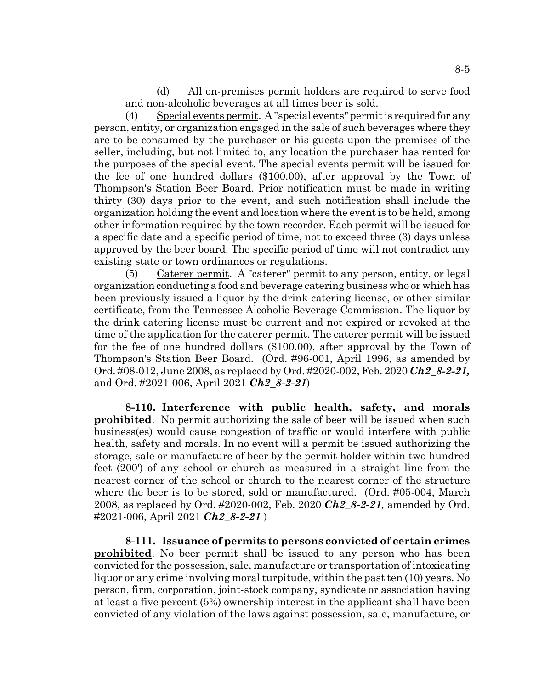(d) All on-premises permit holders are required to serve food and non-alcoholic beverages at all times beer is sold.

(4) Special events permit. A "special events" permit is required for any person, entity, or organization engaged in the sale of such beverages where they are to be consumed by the purchaser or his guests upon the premises of the seller, including, but not limited to, any location the purchaser has rented for the purposes of the special event. The special events permit will be issued for the fee of one hundred dollars (\$100.00), after approval by the Town of Thompson's Station Beer Board. Prior notification must be made in writing thirty (30) days prior to the event, and such notification shall include the organization holding the event and location where the event is to be held, among other information required by the town recorder. Each permit will be issued for a specific date and a specific period of time, not to exceed three (3) days unless approved by the beer board. The specific period of time will not contradict any existing state or town ordinances or regulations.

 $(5)$  Caterer permit. A "caterer" permit to any person, entity, or legal organization conducting a food and beverage catering business who or which has been previously issued a liquor by the drink catering license, or other similar certificate, from the Tennessee Alcoholic Beverage Commission. The liquor by the drink catering license must be current and not expired or revoked at the time of the application for the caterer permit. The caterer permit will be issued for the fee of one hundred dollars (\$100.00), after approval by the Town of Thompson's Station Beer Board. (Ord. #96-001, April 1996, as amended by Ord. #08-012, June 2008, as replaced by Ord. #2020-002, Feb. 2020 *Ch2\_8-2-21,* and Ord. #2021-006, April 2021 *Ch2\_8-2-21*)

**8-110. Interference with public health, safety, and morals prohibited**. No permit authorizing the sale of beer will be issued when such business(es) would cause congestion of traffic or would interfere with public health, safety and morals. In no event will a permit be issued authorizing the storage, sale or manufacture of beer by the permit holder within two hundred feet (200') of any school or church as measured in a straight line from the nearest corner of the school or church to the nearest corner of the structure where the beer is to be stored, sold or manufactured. (Ord. #05-004, March 2008, as replaced by Ord. #2020-002, Feb. 2020 *Ch2\_8-2-21,* amended by Ord. #2021-006, April 2021 *Ch2\_8-2-21* )

**8-111. Issuance of permits to persons convicted of certain crimes prohibited**. No beer permit shall be issued to any person who has been convicted for the possession, sale, manufacture or transportation of intoxicating liquor or any crime involving moral turpitude, within the past ten (10) years. No person, firm, corporation, joint-stock company, syndicate or association having at least a five percent (5%) ownership interest in the applicant shall have been convicted of any violation of the laws against possession, sale, manufacture, or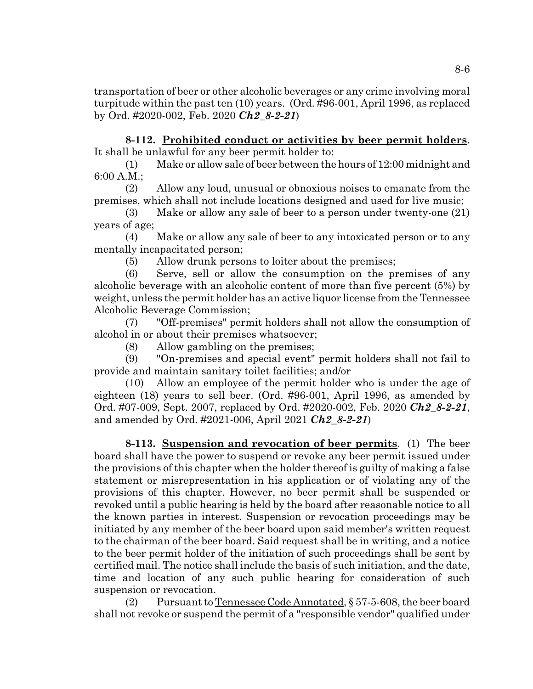transportation of beer or other alcoholic beverages or any crime involving moral turpitude within the past ten (10) years. (Ord. #96-001, April 1996, as replaced by Ord. #2020-002, Feb. 2020 *Ch2\_8-2-21*)

**8-112. Prohibited conduct or activities by beer permit holders**. It shall be unlawful for any beer permit holder to:

(1) Make or allow sale of beer between the hours of 12:00 midnight and 6:00 A.M.;

(2) Allow any loud, unusual or obnoxious noises to emanate from the premises, which shall not include locations designed and used for live music;

(3) Make or allow any sale of beer to a person under twenty-one (21) years of age;

(4) Make or allow any sale of beer to any intoxicated person or to any mentally incapacitated person;

(5) Allow drunk persons to loiter about the premises;

(6) Serve, sell or allow the consumption on the premises of any alcoholic beverage with an alcoholic content of more than five percent (5%) by weight, unless the permit holder has an active liquor license from the Tennessee Alcoholic Beverage Commission;

(7) "Off-premises" permit holders shall not allow the consumption of alcohol in or about their premises whatsoever;

(8) Allow gambling on the premises;

(9) "On-premises and special event" permit holders shall not fail to provide and maintain sanitary toilet facilities; and/or

(10) Allow an employee of the permit holder who is under the age of eighteen (18) years to sell beer. (Ord. #96-001, April 1996, as amended by Ord. #07-009, Sept. 2007, replaced by Ord. #2020-002, Feb. 2020 *Ch2\_8-2-21*, and amended by Ord. #2021-006, April 2021 *Ch2\_8-2-21*)

**8-113. Suspension and revocation of beer permits**. (1) The beer board shall have the power to suspend or revoke any beer permit issued under the provisions of this chapter when the holder thereof is guilty of making a false statement or misrepresentation in his application or of violating any of the provisions of this chapter. However, no beer permit shall be suspended or revoked until a public hearing is held by the board after reasonable notice to all the known parties in interest. Suspension or revocation proceedings may be initiated by any member of the beer board upon said member's written request to the chairman of the beer board. Said request shall be in writing, and a notice to the beer permit holder of the initiation of such proceedings shall be sent by certified mail. The notice shall include the basis of such initiation, and the date, time and location of any such public hearing for consideration of such suspension or revocation.

(2) Pursuant to Tennessee Code Annotated, § 57-5-608, the beer board shall not revoke or suspend the permit of a "responsible vendor" qualified under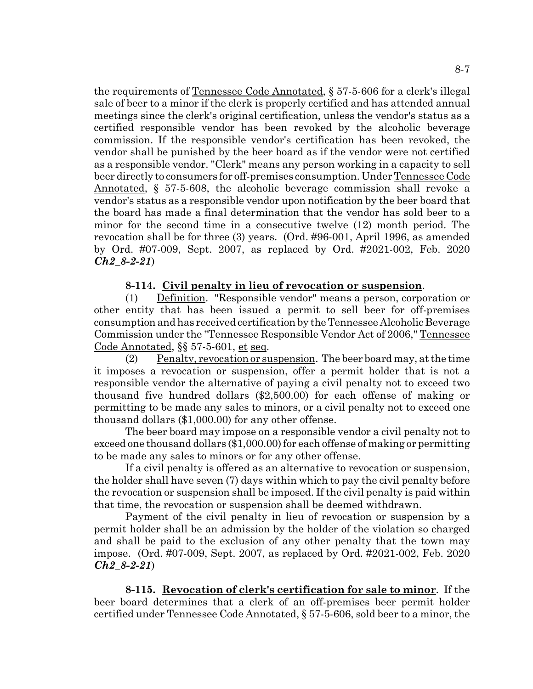the requirements of Tennessee Code Annotated, § 57-5-606 for a clerk's illegal sale of beer to a minor if the clerk is properly certified and has attended annual meetings since the clerk's original certification, unless the vendor's status as a certified responsible vendor has been revoked by the alcoholic beverage commission. If the responsible vendor's certification has been revoked, the vendor shall be punished by the beer board as if the vendor were not certified as a responsible vendor. "Clerk" means any person working in a capacity to sell beer directly to consumers for off-premises consumption. Under Tennessee Code Annotated, § 57-5-608, the alcoholic beverage commission shall revoke a vendor's status as a responsible vendor upon notification by the beer board that the board has made a final determination that the vendor has sold beer to a minor for the second time in a consecutive twelve (12) month period. The revocation shall be for three (3) years. (Ord. #96-001, April 1996, as amended by Ord. #07-009, Sept. 2007, as replaced by Ord. #2021-002, Feb. 2020 *Ch2\_8-2-21*)

#### **8-114. Civil penalty in lieu of revocation or suspension**.

(1) Definition. "Responsible vendor" means a person, corporation or other entity that has been issued a permit to sell beer for off-premises consumption and has received certification by the Tennessee Alcoholic Beverage Commission under the "Tennessee Responsible Vendor Act of 2006," Tennessee Code Annotated, §§ 57-5-601, et seq.

 $(2)$  Penalty, revocation or suspension. The beer board may, at the time it imposes a revocation or suspension, offer a permit holder that is not a responsible vendor the alternative of paying a civil penalty not to exceed two thousand five hundred dollars (\$2,500.00) for each offense of making or permitting to be made any sales to minors, or a civil penalty not to exceed one thousand dollars (\$1,000.00) for any other offense.

The beer board may impose on a responsible vendor a civil penalty not to exceed one thousand dollars (\$1,000.00) for each offense of making or permitting to be made any sales to minors or for any other offense.

If a civil penalty is offered as an alternative to revocation or suspension, the holder shall have seven (7) days within which to pay the civil penalty before the revocation or suspension shall be imposed. If the civil penalty is paid within that time, the revocation or suspension shall be deemed withdrawn.

Payment of the civil penalty in lieu of revocation or suspension by a permit holder shall be an admission by the holder of the violation so charged and shall be paid to the exclusion of any other penalty that the town may impose. (Ord. #07-009, Sept. 2007, as replaced by Ord. #2021-002, Feb. 2020 *Ch2\_8-2-21*)

**8-115. Revocation of clerk's certification for sale to minor**. If the beer board determines that a clerk of an off-premises beer permit holder certified under Tennessee Code Annotated, § 57-5-606, sold beer to a minor, the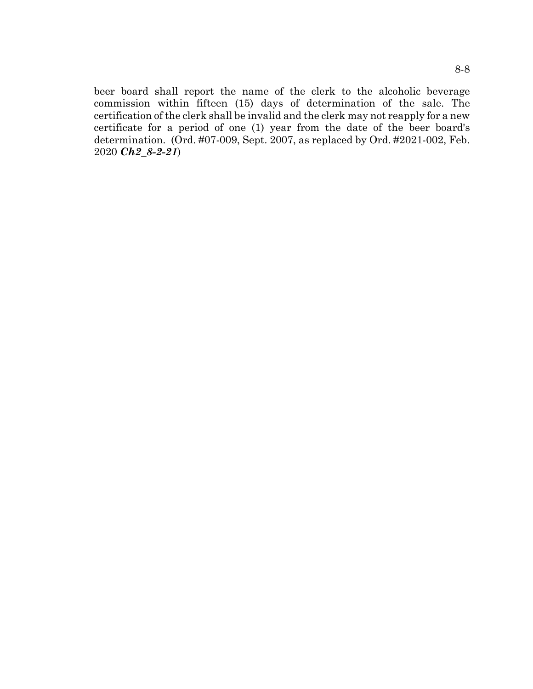beer board shall report the name of the clerk to the alcoholic beverage commission within fifteen (15) days of determination of the sale. The certification of the clerk shall be invalid and the clerk may not reapply for a new certificate for a period of one (1) year from the date of the beer board's determination. (Ord. #07-009, Sept. 2007, as replaced by Ord. #2021-002, Feb. 2020 *Ch2\_8-2-21*)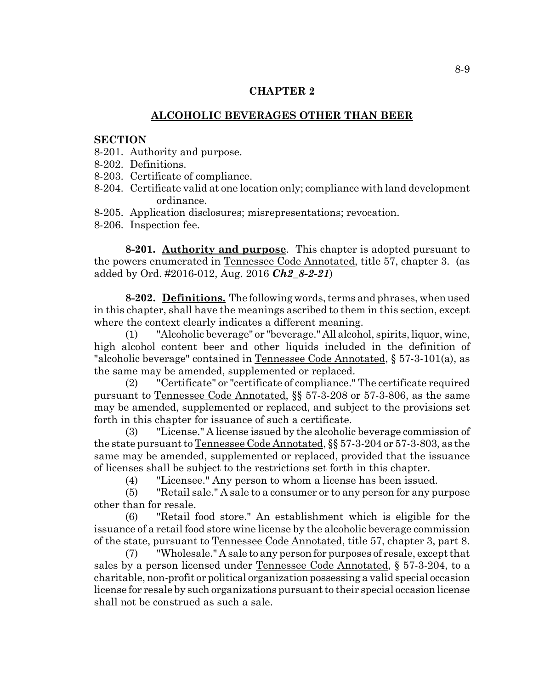# **CHAPTER 2**

# **ALCOHOLIC BEVERAGES OTHER THAN BEER**

#### **SECTION**

- 8-201. Authority and purpose.
- 8-202. Definitions.
- 8-203. Certificate of compliance.
- 8-204. Certificate valid at one location only; compliance with land development ordinance.
- 8-205. Application disclosures; misrepresentations; revocation.
- 8-206. Inspection fee.

**8-201. Authority and purpose**. This chapter is adopted pursuant to the powers enumerated in Tennessee Code Annotated, title 57, chapter 3. (as added by Ord. #2016-012, Aug. 2016 *Ch2\_8-2-21*)

**8-202. Definitions.** The following words, terms and phrases, when used in this chapter, shall have the meanings ascribed to them in this section, except where the context clearly indicates a different meaning.

(1) "Alcoholic beverage" or "beverage." All alcohol, spirits, liquor, wine, high alcohol content beer and other liquids included in the definition of "alcoholic beverage" contained in Tennessee Code Annotated, § 57-3-101(a), as the same may be amended, supplemented or replaced.

(2) "Certificate" or "certificate of compliance." The certificate required pursuant to Tennessee Code Annotated, §§ 57-3-208 or 57-3-806, as the same may be amended, supplemented or replaced, and subject to the provisions set forth in this chapter for issuance of such a certificate.

(3) "License." A license issued by the alcoholic beverage commission of the state pursuant to Tennessee Code Annotated, §§ 57-3-204 or 57-3-803, as the same may be amended, supplemented or replaced, provided that the issuance of licenses shall be subject to the restrictions set forth in this chapter.

(4) "Licensee." Any person to whom a license has been issued.

(5) "Retail sale." A sale to a consumer or to any person for any purpose other than for resale.

(6) "Retail food store." An establishment which is eligible for the issuance of a retail food store wine license by the alcoholic beverage commission of the state, pursuant to Tennessee Code Annotated, title 57, chapter 3, part 8.

(7) "Wholesale." A sale to any person for purposes of resale, except that sales by a person licensed under Tennessee Code Annotated, § 57-3-204, to a charitable, non-profit or political organization possessing a valid special occasion license for resale by such organizations pursuant to their special occasion license shall not be construed as such a sale.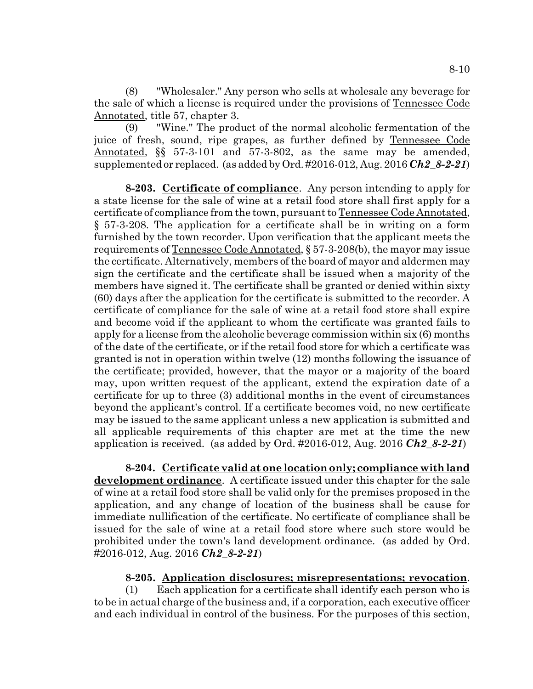(8) "Wholesaler." Any person who sells at wholesale any beverage for the sale of which a license is required under the provisions of Tennessee Code Annotated, title 57, chapter 3.

(9) "Wine." The product of the normal alcoholic fermentation of the juice of fresh, sound, ripe grapes, as further defined by Tennessee Code Annotated, §§ 57-3-101 and 57-3-802, as the same may be amended, supplemented or replaced. (as added by Ord. #2016-012, Aug. 2016 *Ch2\_8-2-21*)

**8-203. Certificate of compliance**. Any person intending to apply for a state license for the sale of wine at a retail food store shall first apply for a certificate of compliance from the town, pursuant to Tennessee Code Annotated, § 57-3-208. The application for a certificate shall be in writing on a form furnished by the town recorder. Upon verification that the applicant meets the requirements of Tennessee Code Annotated, § 57-3-208(b), the mayor may issue the certificate. Alternatively, members of the board of mayor and aldermen may sign the certificate and the certificate shall be issued when a majority of the members have signed it. The certificate shall be granted or denied within sixty (60) days after the application for the certificate is submitted to the recorder. A certificate of compliance for the sale of wine at a retail food store shall expire and become void if the applicant to whom the certificate was granted fails to apply for a license from the alcoholic beverage commission within six (6) months of the date of the certificate, or if the retail food store for which a certificate was granted is not in operation within twelve (12) months following the issuance of the certificate; provided, however, that the mayor or a majority of the board may, upon written request of the applicant, extend the expiration date of a certificate for up to three (3) additional months in the event of circumstances beyond the applicant's control. If a certificate becomes void, no new certificate may be issued to the same applicant unless a new application is submitted and all applicable requirements of this chapter are met at the time the new application is received. (as added by Ord. #2016-012, Aug. 2016 *Ch2\_8-2-21*)

**8-204. Certificate valid at one location only; compliance with land development ordinance**. A certificate issued under this chapter for the sale of wine at a retail food store shall be valid only for the premises proposed in the application, and any change of location of the business shall be cause for immediate nullification of the certificate. No certificate of compliance shall be issued for the sale of wine at a retail food store where such store would be prohibited under the town's land development ordinance. (as added by Ord. #2016-012, Aug. 2016 *Ch2\_8-2-21*)

#### **8-205. Application disclosures; misrepresentations; revocation**.

(1) Each application for a certificate shall identify each person who is to be in actual charge of the business and, if a corporation, each executive officer and each individual in control of the business. For the purposes of this section,